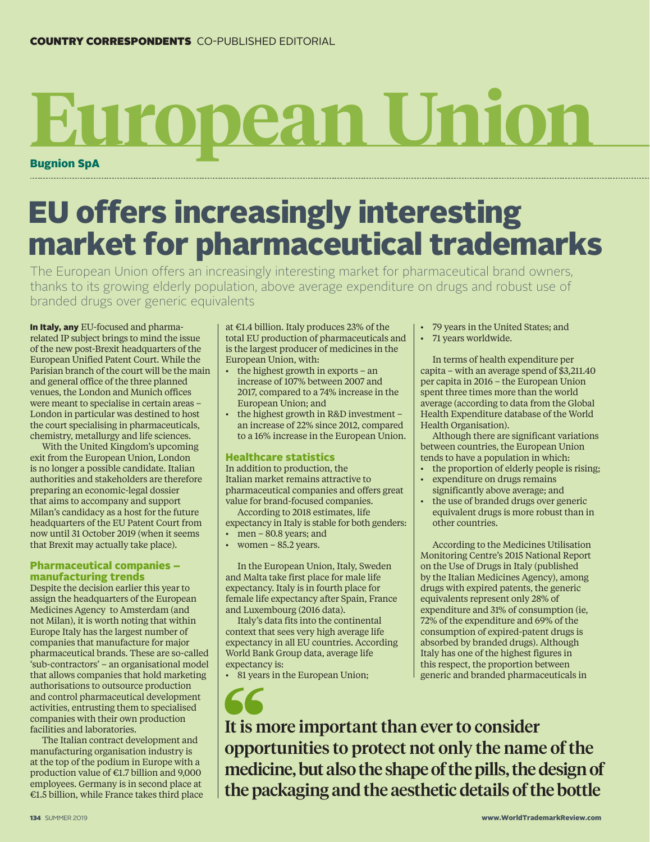# Bugnion SpA **European Union**

# EU offers increasingly interesting market for pharmaceutical trademarks

The European Union offers an increasingly interesting market for pharmaceutical brand owners, thanks to its growing elderly population, above average expenditure on drugs and robust use of branded drugs over generic equivalents

In Italy, any EU-focused and pharmarelated IP subject brings to mind the issue of the new post-Brexit headquarters of the European Unified Patent Court. While the Parisian branch of the court will be the main and general office of the three planned venues, the London and Munich offices were meant to specialise in certain areas – London in particular was destined to host the court specialising in pharmaceuticals, chemistry, metallurgy and life sciences.

With the United Kingdom's upcoming exit from the European Union, London is no longer a possible candidate. Italian authorities and stakeholders are therefore preparing an economic-legal dossier that aims to accompany and support Milan's candidacy as a host for the future headquarters of the EU Patent Court from now until 31 October 2019 (when it seems that Brexit may actually take place).

### Pharmaceutical companies – manufacturing trends

Despite the decision earlier this year to assign the headquarters of the European Medicines Agency to Amsterdam (and not Milan), it is worth noting that within Europe Italy has the largest number of companies that manufacture for major pharmaceutical brands. These are so-called 'sub-contractors' – an organisational model that allows companies that hold marketing authorisations to outsource production and control pharmaceutical development activities, entrusting them to specialised companies with their own production facilities and laboratories.

The Italian contract development and manufacturing organisation industry is at the top of the podium in Europe with a production value of €1.7 billion and 9,000 employees. Germany is in second place at €1.5 billion, while France takes third place at €1.4 billion. Italy produces 23% of the total EU production of pharmaceuticals and is the largest producer of medicines in the European Union, with:

- the highest growth in exports an increase of 107% between 2007 and 2017, compared to a 74% increase in the European Union; and
- the highest growth in R&D investment an increase of 22% since 2012, compared to a 16% increase in the European Union.

## Healthcare statistics

In addition to production, the Italian market remains attractive to pharmaceutical companies and offers great value for brand-focused companies.

According to 2018 estimates, life expectancy in Italy is stable for both genders:

• men – 80.8 years; and • women  $-85.2$  years.

In the European Union, Italy, Sweden and Malta take first place for male life expectancy. Italy is in fourth place for female life expectancy after Spain, France and Luxembourg (2016 data).

Italy's data fits into the continental context that sees very high average life expectancy in all EU countries. According World Bank Group data, average life expectancy is:

• 81 years in the European Union;

- 79 years in the United States; and
- 71 years worldwide.

In terms of health expenditure per capita – with an average spend of \$3,211.40 per capita in 2016 – the European Union spent three times more than the world average (according to data from the Global Health Expenditure database of the World Health Organisation).

Although there are significant variations between countries, the European Union tends to have a population in which:

- the proportion of elderly people is rising;
- expenditure on drugs remains significantly above average; and
- the use of branded drugs over generic equivalent drugs is more robust than in other countries.

According to the Medicines Utilisation Monitoring Centre's 2015 National Report on the Use of Drugs in Italy (published by the Italian Medicines Agency), among drugs with expired patents, the generic equivalents represent only 28% of expenditure and 31% of consumption (ie, 72% of the expenditure and 69% of the consumption of expired-patent drugs is absorbed by branded drugs). Although Italy has one of the highest figures in this respect, the proportion between generic and branded pharmaceuticals in

It is more important than ever to consider opportunities to protect not only the name of the medicine, but also the shape of the pills, the design of the packaging and the aesthetic details of the bottle